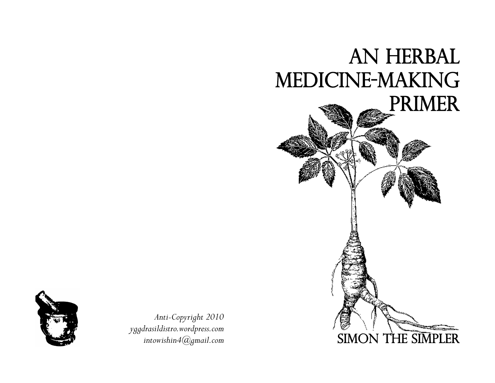



*Anti-Copyright 2010 yggdrasildistro.wordpress.com intowishin4@gmail.com*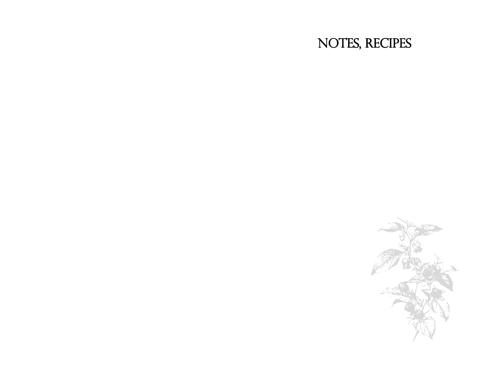# NOTES, RECIPES

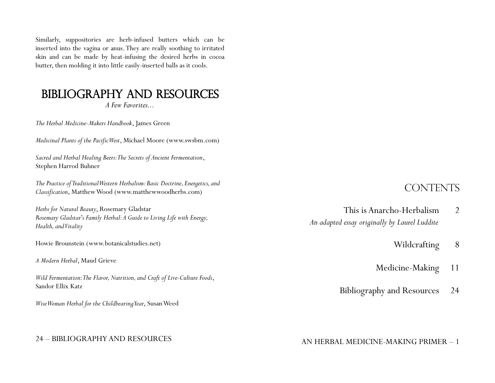Similarly, suppositories are herb-infused butters which can be inserted into the vagina or anus. They are really soothing to irritated skin and can be made by heat-infusing the desired herbs in cocoa butter, then molding it into little easily-inserted balls as it cools.

### BIBLIOGRAPHY AND RESOURCES

*A Few Favorites...*

*The Herbal Medicine-Makers Handbook*, James Green

*Medicinal Plants of the Pacific West*, Michael Moore (www.swsbm.com)

*Sacred and Herbal Healing Beers: The Secrets of Ancient Fermentation*, Stephen Harrod Buhner

*The Practice of Traditional Western Herbalism: Basic Doctrine, Energetics, and Classification*, Matthew Wood (www.matthewwoodherbs.com)

*Herbs for Natural Beauty*, Rosemary Gladstar *Rosemary Gladstar's Family Herbal: A Guide to Living Life with Energy, Health, and Vitality*

Howie Brounstein (www.botanicalstudies.net)

*A Modern Herbal*, Maud Grieve

*Wild Fermentation: The Flavor, Nutrition, and Craft of Live-Culture Foods*, Sandor Ellix Katz

*Wise Woman Herbal for the Childbearing Year*, Susan Weed

#### 24 – BIBLIOGRAPHY AND RESOURCES

### **CONTENTS**

- This is Anarcho-Herbalism 2 *An adapted essay originally by Laurel Luddite* 
	- Wildcrafting 8
	- Medicine-Making 11
	- Bibliography and Resources 24

#### AN HERBAL MEDICINE-MAKING PRIMER – 1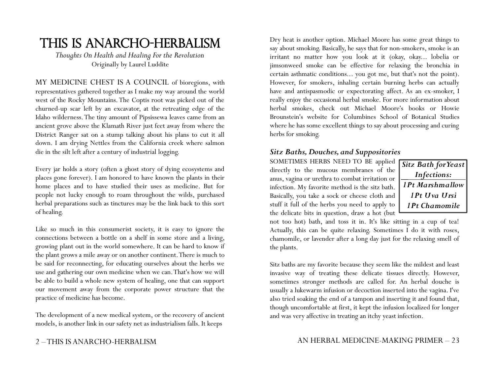## This is Anarcho-Herbalism

*Thoughts On Health and Healing For the Revolution* Originally by Laurel Luddite

MY MEDICINE CHEST IS A COUNCIL of bioregions, with representatives gathered together as I make my way around the world west of the Rocky Mountains. The Coptis root was picked out of the churned-up scar left by an excavator, at the retreating edge of the Idaho wilderness. The tiny amount of Pipsissewa leaves came from an ancient grove above the Klamath River just feet away from where the District Ranger sat on a stump talking about his plans to cut it all down. I am drying Nettles from the California creek where salmon die in the silt left after a century of industrial logging.

Every jar holds a story (often a ghost story of dying ecosystems and places gone forever). I am honored to have known the plants in their home places and to have studied their uses as medicine. But for people not lucky enough to roam throughout the wilds, purchased herbal preparations such as tinctures may be the link back to this sort of healing.

Like so much in this consumerist society, it is easy to ignore the connections between a bottle on a shelf in some store and a living, growing plant out in the world somewhere. It can be hard to know if the plant grows a mile away or on another continent. There is much to be said for reconnecting, for educating ourselves about the herbs we use and gathering our own medicine when we can. That's how we will be able to build a whole new system of healing, one that can support our movement away from the corporate power structure that the practice of medicine has become.

The development of a new medical system, or the recovery of ancient models, is another link in our safety net as industrialism falls. It keeps

#### 2 – THIS IS ANARCHO-HERBALISM

Dry heat is another option. Michael Moore has some great things to say about smoking. Basically, he says that for non-smokers, smoke is an irritant no matter how you look at it (okay, okay... lobelia or jimsonweed smoke can be effective for relaxing the bronchia in certain asthmatic conditions... you got me, but that's not the point). However, for smokers, inhaling certain burning herbs can actually have and antispasmodic or expectorating affect. As an ex-smoker, I really enjoy the occasional herbal smoke. For more information about herbal smokes, check out Michael Moore's books or Howie Brounstein's website for Columbines School of Botanical Studies where he has some excellent things to say about processing and curing herbs for smoking.

#### *Sitz Baths, Douches, and Suppositories*

SOMETIMES HERBS NEED TO BE applied directly to the mucous membranes of the anus, vagina or urethra to combat irritation or infection. My favorite method is the sitz bath. Basically, you take a sock or cheese cloth and stuff it full of the herbs you need to apply to the delicate bits in question, draw a hot (but

*Sitz Bath for Yeast Infections: 1Pt Marshmallow 1Pt Uva Ursi 1Pt Chamomile*

not too hot) bath, and toss it in. It's like sitting in a cup of tea! Actually, this can be quite relaxing. Sometimes I do it with roses, chamomile, or lavender after a long day just for the relaxing smell of the plants.

Sitz baths are my favorite because they seem like the mildest and least invasive way of treating these delicate tissues directly. However, sometimes stronger methods are called for. An herbal douche is usually a lukewarm infusion or decoction inserted into the vagina. I've also tried soaking the end of a tampon and inserting it and found that, though uncomfortable at first, it kept the infusion localized for longer and was very affective in treating an itchy yeast infection.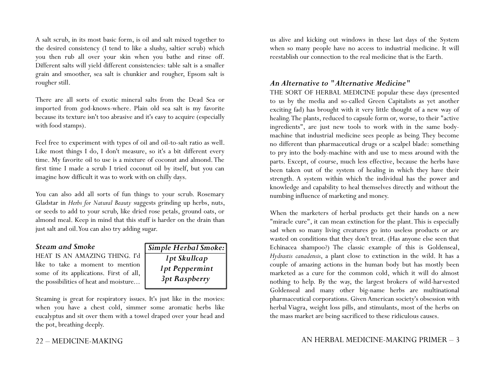A salt scrub, in its most basic form, is oil and salt mixed together to the desired consistency (I tend to like a slushy, saltier scrub) which you then rub all over your skin when you bathe and rinse off. Different salts will yield different consistencies: table salt is a smaller grain and smoother, sea salt is chunkier and rougher, Epsom salt is rougher still.

There are all sorts of exotic mineral salts from the Dead Sea or imported from god-knows-where. Plain old sea salt is my favorite because its texture isn't too abrasive and it's easy to acquire (especially with food stamps).

Feel free to experiment with types of oil and oil-to-salt ratio as well. Like most things I do, I don't measure, so it's a bit different every time. My favorite oil to use is a mixture of coconut and almond. The first time I made a scrub I tried coconut oil by itself, but you can imagine how difficult it was to work with on chilly days.

You can also add all sorts of fun things to your scrub. Rosemary Gladstar in *Herbs for Natural Beauty* suggests grinding up herbs, nuts, or seeds to add to your scrub, like dried rose petals, ground oats, or almond meal. Keep in mind that this stuff is harder on the drain than just salt and oil. You can also try adding sugar.

#### *Steam and Smoke*

HEAT IS AN AMAZING THING. I'd like to take a moment to mention some of its applications. First of all, the possibilities of heat and moisture...



Steaming is great for respiratory issues. It's just like in the movies: when you have a chest cold, simmer some aromatic herbs like eucalyptus and sit over them with a towel draped over your head and the pot, breathing deeply.

#### 22 – MEDICINE-MAKING

us alive and kicking out windows in these last days of the System when so many people have no access to industrial medicine. It will reestablish our connection to the real medicine that is the Earth.

#### *An Alternative to "Alternative Medicine"*

THE SORT OF HERBAL MEDICINE popular these days (presented to us by the media and so-called Green Capitalists as yet another exciting fad) has brought with it very little thought of a new way of healing. The plants, reduced to capsule form or, worse, to their "active ingredients", are just new tools to work with in the same bodymachine that industrial medicine sees people as being. They become no different than pharmaceutical drugs or a scalpel blade: something to pry into the body-machine with and use to mess around with the parts. Except, of course, much less effective, because the herbs have been taken out of the system of healing in which they have their strength. A system within which the individual has the power and knowledge and capability to heal themselves directly and without the numbing influence of marketing and money.

When the marketers of herbal products get their hands on a new "miracle cure", it can mean extinction for the plant. This is especially sad when so many living creatures go into useless products or are wasted on conditions that they don't treat. (Has anyone else seen that Echinacea shampoo?) The classic example of this is Goldenseal, *Hydrastis canadensis*, a plant close to extinction in the wild. It has a couple of amazing actions in the human body but has mostly been marketed as a cure for the common cold, which it will do almost nothing to help. By the way, the largest brokers of wild-harvested Goldenseal and many other big-name herbs are multinational pharmaceutical corporations. Given American society's obsession with herbal Viagra, weight loss pills, and stimulants, most of the herbs on the mass market are being sacrificed to these ridiculous causes.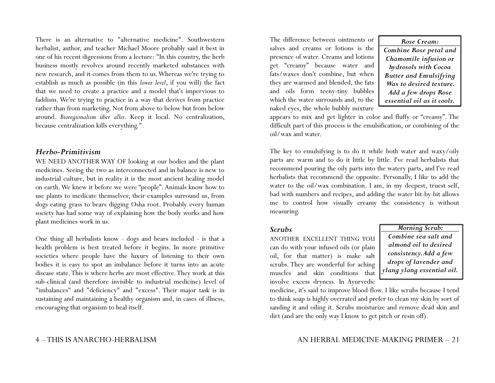There is an alternative to "alternative medicine". Southwestern herbalist, author, and teacher Michael Moore probably said it best in one of his recent digressions from a lecture: "In this country, the herb business mostly revolves around recently marketed substances with new research, and it comes from them to us. Whereas we're trying to establish as much as possible (in this *lower level*, if you will) the fact that we need to create a practice and a model that's impervious to faddism. We're trying to practice in a way that derives from practice rather than from marketing. Not from above to below but from below around. *Bioregionalism über alles*. Keep it local. No centralization, because centralization kills everything."

#### *Herbo-Primitivism*

WE NEED ANOTHER WAY OF looking at our bodies and the plant medicines. Seeing the two as interconnected and in balance is new to industrial culture, but in reality it is the most ancient healing model on earth. We knew it before we were "people". Animals know how to use plants to medicate themselves; their examples surround us, from dogs eating grass to bears digging Osha root. Probably every human society has had some way of explaining how the body works and how plant medicines work in us.

One thing all herbalists know - dogs and bears included - is that a health problem is best treated before it begins. In more primitive societies where people have the luxury of listening to their own bodies it is easy to spot an imbalance before it turns into an acute disease state. This is where herbs are most effective. They work at this sub-clinical (and therefore invisible to industrial medicine) level of "imbalances" and "deficiency" and "excess". Their major task is in sustaining and maintaining a healthy organism and, in cases of illness, encouraging that organism to heal itself.

The difference between ointments or salves and creams or lotions is the presence of water. Creams and lotions get "creamy" because water and fats/waxes don't combine, but when they are warmed and blended, the fats and oils form teeny-tiny bubbles which the water surrounds and, to the naked eyes, the whole bubbly mixture

*Rose Cream: Combine Rose petal and Chamomile infusion or hydrosols with Cocoa Butter and Emulsifying Wax to desired texture. Add a few drops Rose essential oil as it cools.*

appears to mix and get lighter in color and fluffy or "creamy". The difficult part of this process is the emulsification, or combining of the oil/wax and water.

The key to emulsifying is to do it while both water and waxy/oily parts are warm and to do it little by little. I've read herbalists that recommend pouring the oily parts into the watery parts, and I've read herbalists that recommend the opposite. Personally, I like to add the water to the oil/wax combination. I am, in my deepest, truest self, bad with numbers and recipes, and adding the water bit-by-bit allows me to control how visually creamy the consistency is without measuring.

#### *Scrubs*

ANOTHER EXCELLENT THING YOU can do with your infused oils (or plain oil, for that matter) is make salt scrubs. They are wonderful for aching muscles and skin conditions that involve excess dryness. In Ayurvedic *Morning Scrub:*

*Combine sea salt and almond oil to desired consistency. Add a few drops of lavender and ylang ylang essential oil.*

medicine, it's said to improve blood-flow. I like scrubs because I tend to think soap is highly overrated and prefer to clean my skin by sort of sanding it and oiling it. Scrubs moisturize and remove dead skin and dirt (and are the only way I know to get pitch or resin off).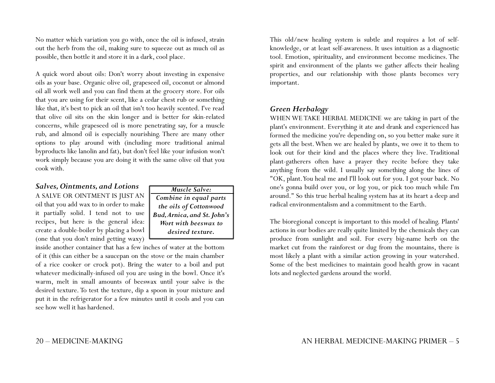No matter which variation you go with, once the oil is infused, strain out the herb from the oil, making sure to squeeze out as much oil as possible, then bottle it and store it in a dark, cool place.

A quick word about oils: Don't worry about investing in expensive oils as your base. Organic olive oil, grapeseed oil, coconut or almond oil all work well and you can find them at the grocery store. For oils that you are using for their scent, like a cedar chest rub or something like that, it's best to pick an oil that isn't too heavily scented. I've read that olive oil sits on the skin longer and is better for skin-related concerns, while grapeseed oil is more penetrating say, for a muscle rub, and almond oil is especially nourishing. There are many other options to play around with (including more traditional animal byproducts like lanolin and fat), but don't feel like your infusion won't work simply because you are doing it with the same olive oil that you cook with.

#### *Salves, Ointments, and Lotions*

A SALVE OR OINTMENT IS JUST AN oil that you add wax to in order to make it partially solid. I tend not to use recipes, but here is the general idea: create a double-boiler by placing a bowl (one that you don't mind getting waxy)

| Muscle Salve:               |
|-----------------------------|
| Combine in equal parts      |
| the oils of Cottonwood      |
| Bud, Arnica, and St. John's |
| Wort with beeswax to        |
| desired texture.            |
|                             |

inside another container that has a few inches of water at the bottom of it (this can either be a saucepan on the stove or the main chamber of a rice cooker or crock pot). Bring the water to a boil and put whatever medicinally-infused oil you are using in the bowl. Once it's warm, melt in small amounts of beeswax until your salve is the desired texture. To test the texture, dip a spoon in your mixture and put it in the refrigerator for a few minutes until it cools and you can see how well it has hardened.

This old/new healing system is subtle and requires a lot of selfknowledge, or at least self-awareness. It uses intuition as a diagnostic tool. Emotion, spirituality, and environment become medicines. The spirit and environment of the plants we gather affects their healing properties, and our relationship with those plants becomes very important.

#### *Green Herbalogy*

WHEN WE TAKE HERBAL MEDICINE we are taking in part of the plant's environment. Everything it ate and drank and experienced has formed the medicine you're depending on, so you better make sure it gets all the best. When we are healed by plants, we owe it to them to look out for their kind and the places where they live. Traditional plant-gatherers often have a prayer they recite before they take anything from the wild. I usually say something along the lines of "OK, plant. You heal me and I'll look out for you. I got your back. No one's gonna build over you, or log you, or pick too much while I'm around." So this true herbal healing system has at its heart a deep and radical environmentalism and a commitment to the Earth.

The bioregional concept is important to this model of healing. Plants' actions in our bodies are really quite limited by the chemicals they can produce from sunlight and soil. For every big-name herb on the market cut from the rainforest or dug from the mountains, there is most likely a plant with a similar action growing in your watershed. Some of the best medicines to maintain good health grow in vacant lots and neglected gardens around the world.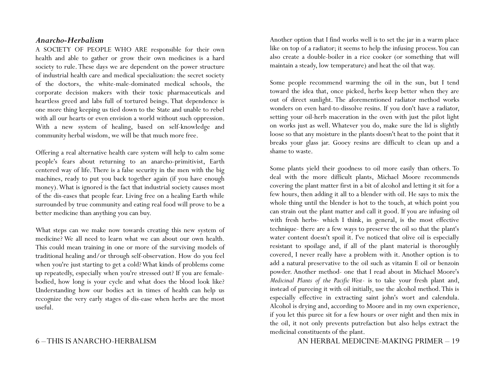#### *Anarcho-Herbalism*

A SOCIETY OF PEOPLE WHO ARE responsible for their own health and able to gather or grow their own medicines is a hard society to rule. These days we are dependent on the power structure of industrial health care and medical specialization: the secret society of the doctors, the white-male-dominated medical schools, the corporate decision makers with their toxic pharmaceuticals and heartless greed and labs full of tortured beings. That dependence is one more thing keeping us tied down to the State and unable to rebel with all our hearts or even envision a world without such oppression. With a new system of healing, based on self-knowledge and community herbal wisdom, we will be that much more free.

Offering a real alternative health care system will help to calm some people's fears about returning to an anarcho-primitivist, Earth centered way of life. There is a false security in the men with the big machines, ready to put you back together again (if you have enough money). What is ignored is the fact that industrial society causes most of the dis-eases that people fear. Living free on a healing Earth while surrounded by true community and eating real food will prove to be a better medicine than anything you can buy.

What steps can we make now towards creating this new system of medicine? We all need to learn what we can about our own health. This could mean training in one or more of the surviving models of traditional healing and/or through self-observation. How do you feel when you're just starting to get a cold? What kinds of problems come up repeatedly, especially when you're stressed out? If you are femalebodied, how long is your cycle and what does the blood look like? Understanding how our bodies act in times of health can help us recognize the very early stages of dis-ease when herbs are the most useful.

#### 6 – THIS IS ANARCHO-HERBALISM

Another option that I find works well is to set the jar in a warm place like on top of a radiator; it seems to help the infusing process. You can also create a double-boiler in a rice cooker (or something that will maintain a steady, low temperature) and heat the oil that way.

Some people recommend warming the oil in the sun, but I tend toward the idea that, once picked, herbs keep better when they are out of direct sunlight. The aforementioned radiator method works wonders on even hard-to-dissolve resins. If you don't have a radiator, setting your oil-herb maceration in the oven with just the pilot light on works just as well. Whatever you do, make sure the lid is slightly loose so that any moisture in the plants doesn't heat to the point that it breaks your glass jar. Gooey resins are difficult to clean up and a shame to waste.

Some plants yield their goodness to oil more easily than others. To deal with the more difficult plants, Michael Moore recommends covering the plant matter first in a bit of alcohol and letting it sit for a few hours, then adding it all to a blender with oil. He says to mix the whole thing until the blender is hot to the touch, at which point you can strain out the plant matter and call it good. If you are infusing oil with fresh herbs- which I think, in general, is the most effective technique- there are a few ways to preserve the oil so that the plant's water content doesn't spoil it. I've noticed that olive oil is especially resistant to spoilage and, if all of the plant material is thoroughly covered, I never really have a problem with it. Another option is to add a natural preservative to the oil such as vitamin E oil or benzoin powder. Another method- one that I read about in Michael Moore's *Medicinal Plants of the Pacific West*- is to take your fresh plant and, instead of pureeing it with oil initially, use the alcohol method. This is especially effective in extracting saint john's wort and calendula. Alcohol is drying and, according to Moore and in my own experience, if you let this puree sit for a few hours or over night and then mix in the oil, it not only prevents putrefaction but also helps extract the medicinal constituents of the plant.

AN HERBAL MEDICINE-MAKING PRIMER – 19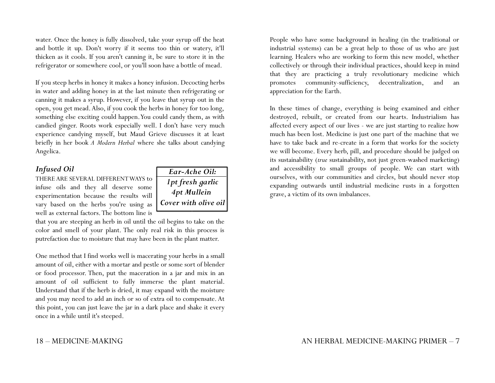water. Once the honey is fully dissolved, take your syrup off the heat and bottle it up. Don't worry if it seems too thin or watery, it'll thicken as it cools. If you aren't canning it, be sure to store it in the refrigerator or somewhere cool, or you'll soon have a bottle of mead.

If you steep herbs in honey it makes a honey infusion. Decocting herbs in water and adding honey in at the last minute then refrigerating or canning it makes a syrup. However, if you leave that syrup out in the open, you get mead. Also, if you cook the herbs in honey for too long, something else exciting could happen. You could candy them, as with candied ginger. Roots work especially well. I don't have very much experience candying myself, but Maud Grieve discusses it at least briefly in her book *A Modern Herbal* where she talks about candying Angelica.

#### *Infused Oil*

THERE ARE SEVERAL DIFFERENT WAYS to infuse oils and they all deserve some experimentation because the results will vary based on the herbs you're using as well as external factors. The bottom line is



that you are steeping an herb in oil until the oil begins to take on the color and smell of your plant. The only real risk in this process is putrefaction due to moisture that may have been in the plant matter.

One method that I find works well is macerating your herbs in a small amount of oil, either with a mortar and pestle or some sort of blender or food processor. Then, put the maceration in a jar and mix in an amount of oil sufficient to fully immerse the plant material. Understand that if the herb is dried, it may expand with the moisture and you may need to add an inch or so of extra oil to compensate. At this point, you can just leave the jar in a dark place and shake it every once in a while until it's steeped.

People who have some background in healing (in the traditional or industrial systems) can be a great help to those of us who are just learning. Healers who are working to form this new model, whether collectively or through their individual practices, should keep in mind that they are practicing a truly revolutionary medicine which promotes community-sufficiency, decentralization, and an appreciation for the Earth.

In these times of change, everything is being examined and either destroyed, rebuilt, or created from our hearts. Industrialism has affected every aspect of our lives - we are just starting to realize how much has been lost. Medicine is just one part of the machine that we have to take back and re-create in a form that works for the society we will become. Every herb, pill, and procedure should be judged on its sustainability (*true* sustainability, not just green-washed marketing) and accessibility to small groups of people. We can start with ourselves, with our communities and circles, but should never stop expanding outwards until industrial medicine rusts in a forgotten grave, a victim of its own imbalances.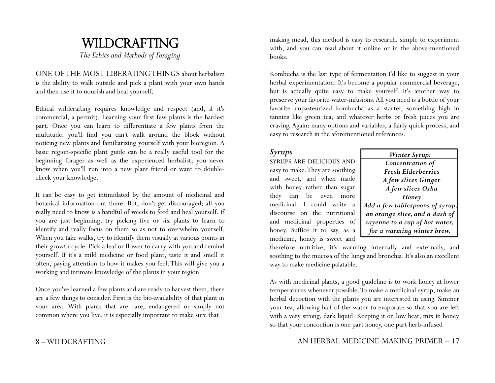# WILDCRAFTING

*The Ethics and Methods of Foraging*

ONE OF THE MOST LIBERATING THINGS about herbalism is the ability to walk outside and pick a plant with your own hands and then use it to nourish and heal yourself.

Ethical wildcrafting requires knowledge and respect (and, if it's commercial, a permit). Learning your first few plants is the hardest part. Once you can learn to differentiate a few plants from the multitude, you'll find you can't walk around the block without noticing new plants and familiarizing yourself with your bioregion. A basic region-specific plant guide can be a really useful tool for the beginning forager as well as the experienced herbalist; you never know when you'll run into a new plant friend or want to doublecheck your knowledge.

It can be easy to get intimidated by the amount of medicinal and botanical information out there. But, don't get discouraged; all you really need to know is a handful of weeds to feed and heal yourself. If you are just beginning, try picking five or six plants to learn to identify and really focus on them so as not to overwhelm yourself. When you take walks, try to identify them visually at various points in their growth cycle. Pick a leaf or flower to carry with you and remind yourself. If it's a mild medicine or food plant, taste it and smell it often, paying attention to how it makes you feel. This will give you a working and intimate knowledge of the plants in your region.

Once you've learned a few plants and are ready to harvest them, there are a few things to consider. First is the bio-availability of that plant in your area. With plants that are rare, endangered or simply not common where you live, it is especially important to make sure that

making mead, this method is easy to research, simple to experiment with, and you can read about it online or in the above-mentioned books.

Kombucha is the last type of fermentation I'd like to suggest in your herbal experimentation. It's become a popular commercial beverage, but is actually quite easy to make yourself. It's another way to preserve your favorite water-infusions. All you need is a bottle of your favorite unpasteurized kombucha as a starter, something high in tannins like green tea, and whatever herbs or fresh juices you are craving. Again: many options and variables, a fairly quick process, and easy to research in the aforementioned references.

#### *Syrups*

SYRUPS ARE DELICIOUS AND easy to make. They are soothing and sweet, and when made with honey rather than sugar they can be even more medicinal. I could write a discourse on the nutritional and medicinal properties of honey. Suffice it to say, as a medicine, honey is sweet and

| Winter Syrup:                   |
|---------------------------------|
| Concentration of                |
| <b>Fresh Elderberries</b>       |
| A few slices Ginger             |
| A few slices Osha               |
| Honey                           |
| Add a few tablespoons of syrup, |
| an orange slice, and a dash of  |
| cayenne to a cup of hot water,  |
| for a warming winter brew.      |
|                                 |

therefore nutritive, it's warming internally and externally, and soothing to the mucosa of the lungs and bronchia. It's also an excellent way to make medicine palatable.

As with medicinal plants, a good guideline is to work honey at lower temperatures whenever possible. To make a medicinal syrup, make an herbal decoction with the plants you are interested in using. Simmer your tea, allowing half of the water to evaporate so that you are left with a very strong, dark liquid. Keeping it on low heat, mix in honey so that your concoction is one part honey, one part herb-infused

#### 8 – WILDCRAFTING

#### AN HERBAL MEDICINE-MAKING PRIMER – 17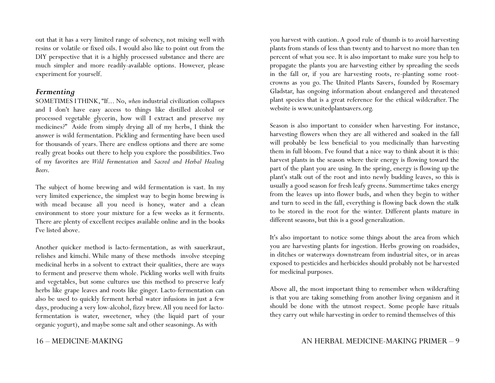out that it has a very limited range of solvency, not mixing well with resins or volatile or fixed oils. I would also like to point out from the DIY perspective that it is a highly processed substance and there are much simpler and more readily-available options. However, please experiment for yourself.

#### *Fermenting*

SOMETIMES I THINK, "If... No, *when* industrial civilization collapses and I don't have easy access to things like distilled alcohol or processed vegetable glycerin, how will I extract and preserve my medicines?" Aside from simply drying all of my herbs, I think the answer is wild fermentation. Pickling and fermenting have been used for thousands of years. There are endless options and there are some really great books out there to help you explore the possibilities. Two of my favorites are *Wild Fermentation* and *Sacred and Herbal Healing Beers*.

The subject of home brewing and wild fermentation is vast. In my very limited experience, the simplest way to begin home brewing is with mead because all you need is honey, water and a clean environment to store your mixture for a few weeks as it ferments. There are plenty of excellent recipes available online and in the books I've listed above.

Another quicker method is lacto-fermentation, as with sauerkraut, relishes and kimchi. While many of these methods involve steeping medicinal herbs in a solvent to extract their qualities, there are ways to ferment and preserve them whole. Pickling works well with fruits and vegetables, but some cultures use this method to preserve leafy herbs like grape leaves and roots like ginger. Lacto-fermentation can also be used to quickly ferment herbal water infusions in just a few days, producing a very low-alcohol, fizzy brew. All you need for lactofermentation is water, sweetener, whey (the liquid part of your organic yogurt), and maybe some salt and other seasonings. As with

16 – MEDICINE-MAKING

you harvest with caution. A good rule of thumb is to avoid harvesting plants from stands of less than twenty and to harvest no more than ten percent of what you see. It is also important to make sure you help to propagate the plants you are harvesting either by spreading the seeds in the fall or, if you are harvesting roots, re-planting some rootcrowns as you go. The United Plants Savers, founded by Rosemary Gladstar, has ongoing information about endangered and threatened plant species that is a great reference for the ethical wildcrafter. The website is www.unitedplantsavers.org.

Season is also important to consider when harvesting. For instance, harvesting flowers when they are all withered and soaked in the fall will probably be less beneficial to you medicinally than harvesting them in full bloom. I've found that a nice way to think about it is this: harvest plants in the season where their energy is flowing toward the part of the plant you are using. In the spring, energy is flowing up the plant's stalk out of the root and into newly budding leaves, so this is usually a good season for fresh leafy greens. Summertime takes energy from the leaves up into flower buds, and when they begin to wither and turn to seed in the fall, everything is flowing back down the stalk to be stored in the root for the winter. Different plants mature in different seasons, but this is a good generalization.

It's also important to notice some things about the area from which you are harvesting plants for ingestion. Herbs growing on roadsides, in ditches or waterways downstream from industrial sites, or in areas exposed to pesticides and herbicides should probably not be harvested for medicinal purposes.

Above all, the most important thing to remember when wildcrafting is that you are taking something from another living organism and it should be done with the utmost respect. Some people have rituals they carry out while harvesting in order to remind themselves of this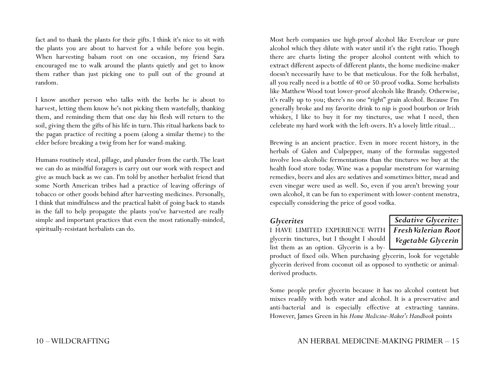fact and to thank the plants for their gifts. I think it's nice to sit with the plants you are about to harvest for a while before you begin. When harvesting balsam root on one occasion, my friend Sara encouraged me to walk around the plants quietly and get to know them rather than just picking one to pull out of the ground at random.

I know another person who talks with the herbs he is about to harvest, letting them know he's not picking them wastefully, thanking them, and reminding them that one day his flesh will return to the soil, giving them the gifts of his life in turn. This ritual harkens back to the pagan practice of reciting a poem (along a similar theme) to the elder before breaking a twig from her for wand-making.

Humans routinely steal, pillage, and plunder from the earth. The least we can do as mindful foragers is carry out our work with respect and give as much back as we can. I'm told by another herbalist friend that some North American tribes had a practice of leaving offerings of tobacco or other goods behind after harvesting medicines. Personally, I think that mindfulness and the practical habit of going back to stands in the fall to help propagate the plants you've harvested are really simple and important practices that even the most rationally-minded, spiritually-resistant herbalists can do.

Most herb companies use high-proof alcohol like Everclear or pure alcohol which they dilute with water until it's the right ratio. Though there are charts listing the proper alcohol content with which to extract different aspects of different plants, the home medicine-maker doesn't necessarily have to be that meticulous. For the folk herbalist, all you really need is a bottle of 40 or 50-proof vodka. Some herbalists like Matthew Wood tout lower-proof alcohols like Brandy. Otherwise, it's really up to you; there's no one "right" grain alcohol. Because I'm generally broke and my favorite drink to nip is good bourbon or Irish whiskey, I like to buy it for my tinctures, use what I need, then celebrate my hard work with the left-overs. It's a lovely little ritual...

Brewing is an ancient practice. Even in more recent history, in the herbals of Galen and Culpepper, many of the formulas suggested involve less-alcoholic fermentations than the tinctures we buy at the health food store today. Wine was a popular menstrum for warming remedies, beers and ales are sedatives and sometimes bitter, mead and even vinegar were used as well. So, even if you aren't brewing your own alcohol, it can be fun to experiment with lower-content menstra, especially considering the price of good vodka.

#### *Glycerites*

I HAVE LIMITED EXPERIENCE WITH glycerin tinctures, but I thought I should list them as an option. Glycerin is a by-

*Sedative Glycerite: Fresh Valerian Root*

*Vegetable Glycerin*

product of fixed oils. When purchasing glycerin, look for vegetable glycerin derived from coconut oil as opposed to synthetic or animalderived products.

Some people prefer glycerin because it has no alcohol content but mixes readily with both water and alcohol. It is a preservative and anti-bacterial and is especially effective at extracting tannins. However, James Green in his *Home Medicine-Maker's Handbook* points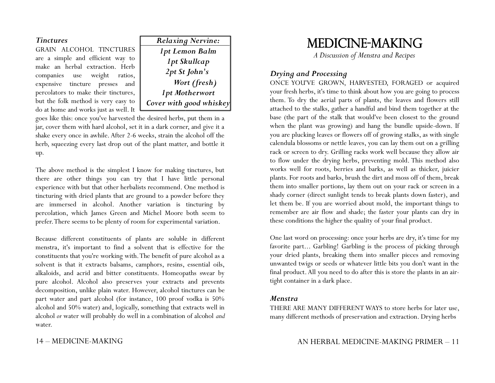#### *Tinctures*

GRAIN ALCOHOL TINCTURES are a simple and efficient way to make an herbal extraction. Herb companies use weight ratios, expensive tincture presses and percolators to make their tinctures, but the folk method is very easy to do at home and works just as well. It



goes like this: once you've harvested the desired herbs, put them in a jar, cover them with hard alcohol, set it in a dark corner, and give it a shake every once in awhile. After 2-6 weeks, strain the alcohol off the herb, squeezing every last drop out of the plant matter, and bottle it up.

The above method is the simplest I know for making tinctures, but there are other things you can try that I have little personal experience with but that other herbalists recommend. One method is tincturing with dried plants that are ground to a powder before they are immersed in alcohol. Another variation is tincturing by percolation, which James Green and Michel Moore both seem to prefer. There seems to be plenty of room for experimental variation.

Because different constituents of plants are soluble in different menstra, it's important to find a solvent that is effective for the constituents that you're working with. The benefit of pure alcohol as a solvent is that it extracts balsams, camphors, resins, essential oils, alkaloids, and acrid and bitter constituents. Homeopaths swear by pure alcohol. Alcohol also preserves your extracts and prevents decomposition, unlike plain water. However, alcohol tinctures can be part water and part alcohol (for instance, 100 proof vodka is 50% alcohol and 50% water) and, logically, something that extracts well in alcohol *or* water will probably do well in a combination of alcohol *and* water.

14 – MEDICINE-MAKING

## MEDICINE-MAKING

*A Discussion of Menstra and Recipes*

#### *Drying and Processing*

ONCE YOU'VE GROWN, HARVESTED, FORAGED or acquired your fresh herbs, it's time to think about how you are going to process them. To dry the aerial parts of plants, the leaves and flowers still attached to the stalks, gather a handful and bind them together at the base (the part of the stalk that would've been closest to the ground when the plant was growing) and hang the bundle upside-down. If you are plucking leaves or flowers off of growing stalks, as with single calendula blossoms or nettle leaves, you can lay them out on a grilling rack or screen to dry. Grilling racks work well because they allow air to flow under the drying herbs, preventing mold. This method also works well for roots, berries and barks, as well as thicker, juicier plants. For roots and barks, brush the dirt and moss off of them, break them into smaller portions, lay them out on your rack or screen in a shady corner (direct sunlight tends to break plants down faster), and let them be. If you are worried about mold, the important things to remember are air flow and shade; the faster your plants can dry in these conditions the higher the quality of your final product.

One last word on processing: once your herbs are dry, it's time for my favorite part... Garbling! Garbling is the process of picking through your dried plants, breaking them into smaller pieces and removing unwanted twigs or seeds or whatever little bits you don't want in the final product. All you need to do after this is store the plants in an airtight container in a dark place.

#### *Menstra*

THERE ARE MANY DIFFERENT WAYS to store herbs for later use, many different methods of preservation and extraction. Drying herbs